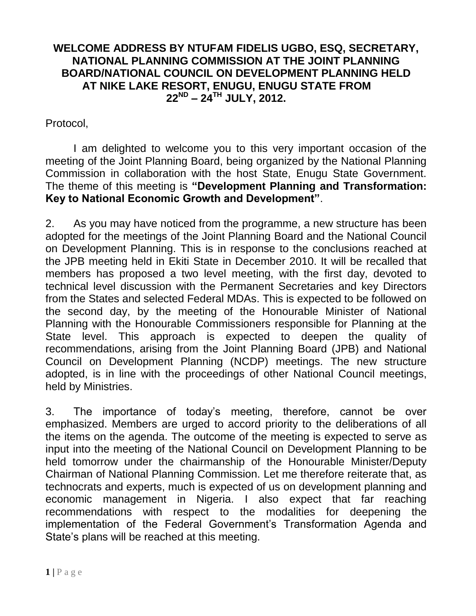## **WELCOME ADDRESS BY NTUFAM FIDELIS UGBO, ESQ, SECRETARY, NATIONAL PLANNING COMMISSION AT THE JOINT PLANNING BOARD/NATIONAL COUNCIL ON DEVELOPMENT PLANNING HELD AT NIKE LAKE RESORT, ENUGU, ENUGU STATE FROM 22ND – 24TH JULY, 2012.**

Protocol,

I am delighted to welcome you to this very important occasion of the meeting of the Joint Planning Board, being organized by the National Planning Commission in collaboration with the host State, Enugu State Government. The theme of this meeting is **"Development Planning and Transformation: Key to National Economic Growth and Development"**.

2. As you may have noticed from the programme, a new structure has been adopted for the meetings of the Joint Planning Board and the National Council on Development Planning. This is in response to the conclusions reached at the JPB meeting held in Ekiti State in December 2010. It will be recalled that members has proposed a two level meeting, with the first day, devoted to technical level discussion with the Permanent Secretaries and key Directors from the States and selected Federal MDAs. This is expected to be followed on the second day, by the meeting of the Honourable Minister of National Planning with the Honourable Commissioners responsible for Planning at the State level. This approach is expected to deepen the quality of recommendations, arising from the Joint Planning Board (JPB) and National Council on Development Planning (NCDP) meetings. The new structure adopted, is in line with the proceedings of other National Council meetings, held by Ministries.

3. The importance of today's meeting, therefore, cannot be over emphasized. Members are urged to accord priority to the deliberations of all the items on the agenda. The outcome of the meeting is expected to serve as input into the meeting of the National Council on Development Planning to be held tomorrow under the chairmanship of the Honourable Minister/Deputy Chairman of National Planning Commission. Let me therefore reiterate that, as technocrats and experts, much is expected of us on development planning and economic management in Nigeria. I also expect that far reaching recommendations with respect to the modalities for deepening the implementation of the Federal Government's Transformation Agenda and State's plans will be reached at this meeting.